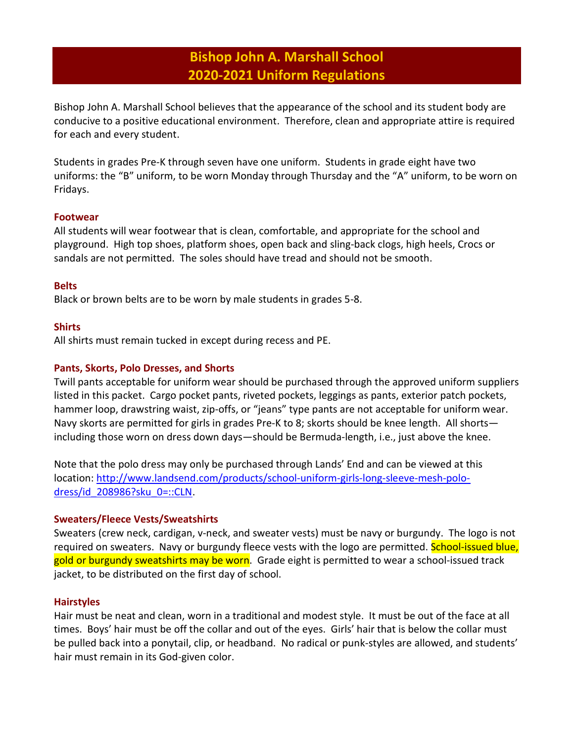# Bishop John A. Marshall School 2020-2021 Uniform Regulations

Bishop John A. Marshall School believes that the appearance of the school and its student body are conducive to a positive educational environment. Therefore, clean and appropriate attire is required for each and every student.

Students in grades Pre-K through seven have one uniform. Students in grade eight have two uniforms: the "B" uniform, to be worn Monday through Thursday and the "A" uniform, to be worn on Fridays.

# Footwear

All students will wear footwear that is clean, comfortable, and appropriate for the school and playground. High top shoes, platform shoes, open back and sling-back clogs, high heels, Crocs or sandals are not permitted. The soles should have tread and should not be smooth.

# **Belts**

Black or brown belts are to be worn by male students in grades 5-8.

### **Shirts**

All shirts must remain tucked in except during recess and PE.

### Pants, Skorts, Polo Dresses, and Shorts

Twill pants acceptable for uniform wear should be purchased through the approved uniform suppliers listed in this packet. Cargo pocket pants, riveted pockets, leggings as pants, exterior patch pockets, hammer loop, drawstring waist, zip-offs, or "jeans" type pants are not acceptable for uniform wear. Navy skorts are permitted for girls in grades Pre-K to 8; skorts should be knee length. All shorts including those worn on dress down days—should be Bermuda-length, i.e., just above the knee.

Note that the polo dress may only be purchased through Lands' End and can be viewed at this location: http://www.landsend.com/products/school-uniform-girls-long-sleeve-mesh-polodress/id\_208986?sku\_0=::CLN.

#### Sweaters/Fleece Vests/Sweatshirts

Sweaters (crew neck, cardigan, v-neck, and sweater vests) must be navy or burgundy. The logo is not required on sweaters. Navy or burgundy fleece vests with the logo are permitted. School-issued blue, gold or burgundy sweatshirts may be worn. Grade eight is permitted to wear a school-issued track jacket, to be distributed on the first day of school.

# **Hairstyles**

Hair must be neat and clean, worn in a traditional and modest style. It must be out of the face at all times. Boys' hair must be off the collar and out of the eyes. Girls' hair that is below the collar must be pulled back into a ponytail, clip, or headband. No radical or punk-styles are allowed, and students' hair must remain in its God-given color.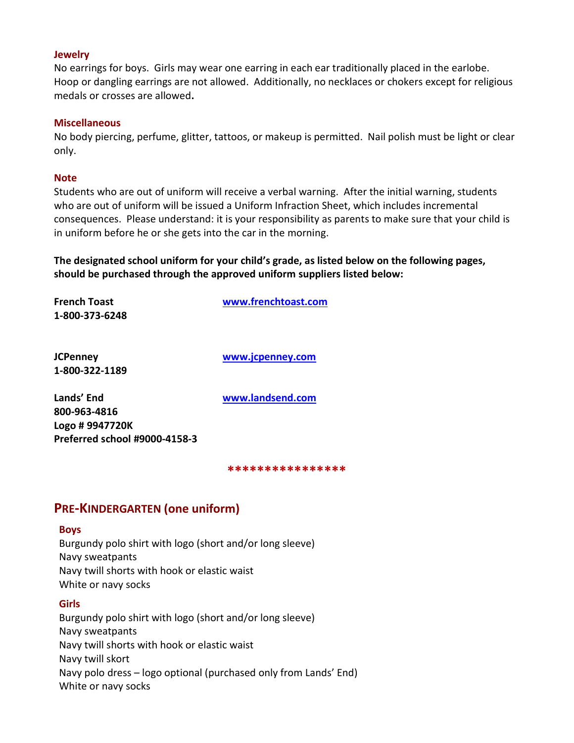#### **Jewelry**

No earrings for boys. Girls may wear one earring in each ear traditionally placed in the earlobe. Hoop or dangling earrings are not allowed. Additionally, no necklaces or chokers except for religious medals or crosses are allowed.

#### **Miscellaneous**

No body piercing, perfume, glitter, tattoos, or makeup is permitted. Nail polish must be light or clear only.

#### **Note**

Students who are out of uniform will receive a verbal warning. After the initial warning, students who are out of uniform will be issued a Uniform Infraction Sheet, which includes incremental consequences. Please understand: it is your responsibility as parents to make sure that your child is in uniform before he or she gets into the car in the morning.

The designated school uniform for your child's grade, as listed below on the following pages, should be purchased through the approved uniform suppliers listed below:

| French Toast<br>1-800-373-6248                                                 | www.frenchtoast.com |
|--------------------------------------------------------------------------------|---------------------|
| JCPenney<br>1-800-322-1189                                                     | www.jcpenney.com    |
| Lands' End<br>800-963-4816<br>Logo # 9947720K<br>Preferred school #9000-4158-3 | www.landsend.com    |

\*\*\*\*\*\*\*\*\*\*\*\*\*\*\*\*

# PRE-KINDERGARTEN (one uniform)

#### Boys

Burgundy polo shirt with logo (short and/or long sleeve) Navy sweatpants Navy twill shorts with hook or elastic waist White or navy socks

# Girls

Burgundy polo shirt with logo (short and/or long sleeve) Navy sweatpants Navy twill shorts with hook or elastic waist Navy twill skort Navy polo dress – logo optional (purchased only from Lands' End) White or navy socks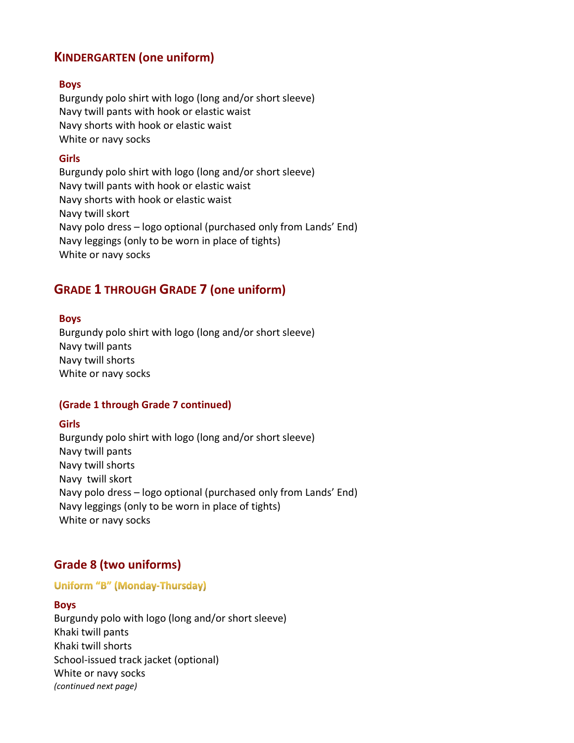# KINDERGARTEN (one uniform)

#### Boys

Burgundy polo shirt with logo (long and/or short sleeve) Navy twill pants with hook or elastic waist Navy shorts with hook or elastic waist White or navy socks

# Girls

Burgundy polo shirt with logo (long and/or short sleeve) Navy twill pants with hook or elastic waist Navy shorts with hook or elastic waist Navy twill skort Navy polo dress – logo optional (purchased only from Lands' End) Navy leggings (only to be worn in place of tights) White or navy socks

# GRADE 1 THROUGH GRADE 7 (one uniform)

### Boys

Burgundy polo shirt with logo (long and/or short sleeve) Navy twill pants Navy twill shorts White or navy socks

# (Grade 1 through Grade 7 continued)

#### **Girls**

Burgundy polo shirt with logo (long and/or short sleeve) Navy twill pants Navy twill shorts Navy twill skort Navy polo dress – logo optional (purchased only from Lands' End) Navy leggings (only to be worn in place of tights) White or navy socks

# Grade 8 (two uniforms)

#### **Uniform "B" (Monday-Thursday)**

#### Boys

Burgundy polo with logo (long and/or short sleeve) Khaki twill pants Khaki twill shorts School-issued track jacket (optional) White or navy socks (continued next page)